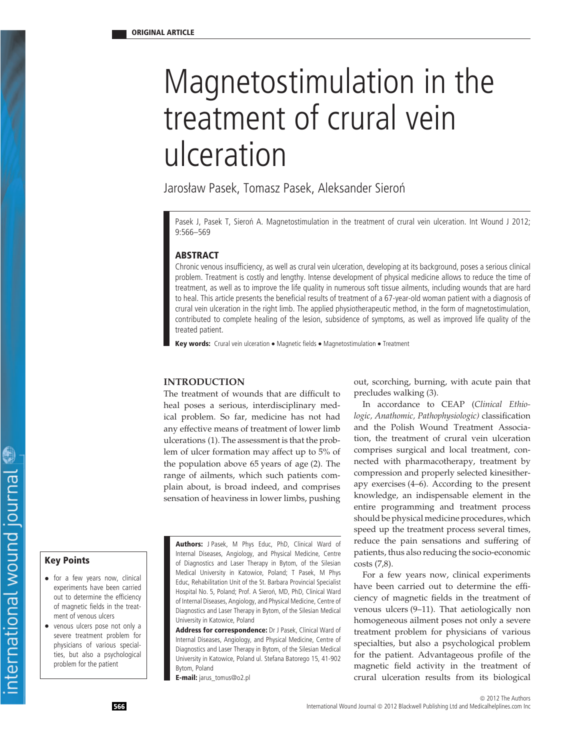# Magnetostimulation in the treatment of crural vein ulceration

Jarosław Pasek, Tomasz Pasek, Aleksander Sieroń

Pasek J, Pasek T, Sieron A. Magnetostimulation in the treatment of crural vein ulceration. Int Wound J 2012; 9:566–569

# **ABSTRACT**

Chronic venous insufficiency, as well as crural vein ulceration, developing at its background, poses a serious clinical problem. Treatment is costly and lengthy. Intense development of physical medicine allows to reduce the time of treatment, as well as to improve the life quality in numerous soft tissue ailments, including wounds that are hard to heal. This article presents the beneficial results of treatment of a 67-year-old woman patient with a diagnosis of crural vein ulceration in the right limb. The applied physiotherapeutic method, in the form of magnetostimulation, contributed to complete healing of the lesion, subsidence of symptoms, as well as improved life quality of the treated patient.

**Key words:** Crural vein ulceration • Magnetic fields • Magnetostimulation • Treatment

#### **INTRODUCTION**

The treatment of wounds that are difficult to heal poses a serious, interdisciplinary medical problem. So far, medicine has not had any effective means of treatment of lower limb ulcerations (1). The assessment is that the problem of ulcer formation may affect up to 5% of the population above 65 years of age (2). The range of ailments, which such patients complain about, is broad indeed, and comprises sensation of heaviness in lower limbs, pushing

- for a few years now, clinical experiments have been carried out to determine the efficiency of magnetic fields in the treatment of venous ulcers
- venous ulcers pose not only a severe treatment problem for physicians of various specialties, but also a psychological problem for the patient

**Authors:** J Pasek, M Phys Educ, PhD, Clinical Ward of Internal Diseases, Angiology, and Physical Medicine, Centre **Key Points Key Points Conserved All 2015** of Diagnostics and Laser Therapy in Bytom, of the Silesian costs (7,8). Medical University in Katowice, Poland; T Pasek, M Phys Educ, Rehabilitation Unit of the St. Barbara Provincial Specialist Hospital No. 5, Poland; Prof. A Sieroń, MD, PhD, Clinical Ward of Internal Diseases, Angiology, and Physical Medicine, Centre of Diagnostics and Laser Therapy in Bytom, of the Silesian Medical University in Katowice, Poland

> **Address for correspondence:** Dr J Pasek, Clinical Ward of Internal Diseases, Angiology, and Physical Medicine, Centre of Diagnostics and Laser Therapy in Bytom, of the Silesian Medical University in Katowice, Poland ul. Stefana Batorego 15, 41-902 Bytom, Poland

**E-mail:** jarus\_tomus@o2.pl

out, scorching, burning, with acute pain that precludes walking (3).

In accordance to CEAP (*Clinical Ethiologic, Anathomic, Pathophysiologic)* classification and the Polish Wound Treatment Association, the treatment of crural vein ulceration comprises surgical and local treatment, connected with pharmacotherapy, treatment by compression and properly selected kinesitherapy exercises (4–6). According to the present knowledge, an indispensable element in the entire programming and treatment process should be physical medicine procedures, which speed up the treatment process several times, reduce the pain sensations and suffering of patients, thus also reducing the socio-economic

For a few years now, clinical experiments have been carried out to determine the efficiency of magnetic fields in the treatment of venous ulcers (9–11). That aetiologically non homogeneous ailment poses not only a severe treatment problem for physicians of various specialties, but also a psychological problem for the patient. Advantageous profile of the magnetic field activity in the treatment of crural ulceration results from its biological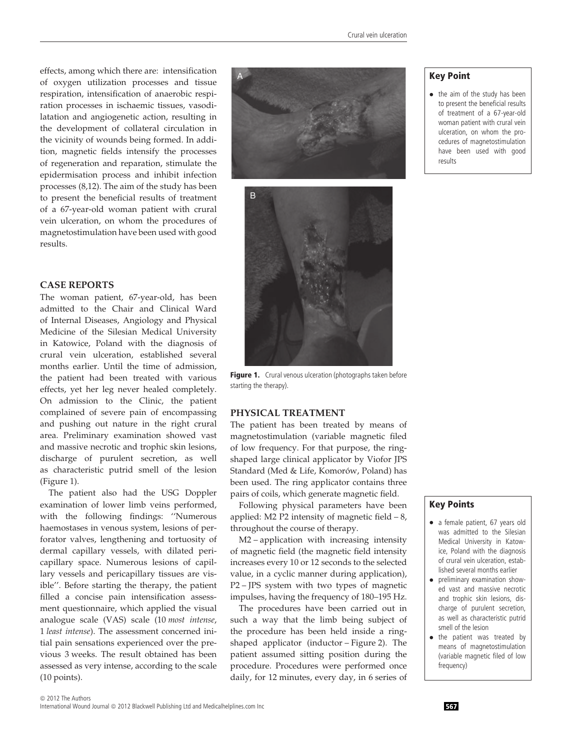of oxygen utilization processes and tissue respiration, intensification of anaerobic respiration processes in ischaemic tissues, vasodilatation and angiogenetic action, resulting in the development of collateral circulation in the vicinity of wounds being formed. In addition, magnetic fields intensify the processes of regeneration and reparation, stimulate the epidermisation process and inhibit infection processes (8,12). The aim of the study has been to present the beneficial results of treatment of a 67-year-old woman patient with crural vein ulceration, on whom the procedures of magnetostimulation have been used with good results.

### **CASE REPORTS**

The woman patient, 67-year-old, has been admitted to the Chair and Clinical Ward of Internal Diseases, Angiology and Physical Medicine of the Silesian Medical University in Katowice, Poland with the diagnosis of crural vein ulceration, established several months earlier. Until the time of admission, the patient had been treated with various effects, yet her leg never healed completely. On admission to the Clinic, the patient complained of severe pain of encompassing and pushing out nature in the right crural area. Preliminary examination showed vast and massive necrotic and trophic skin lesions, discharge of purulent secretion, as well as characteristic putrid smell of the lesion (Figure 1).

The patient also had the USG Doppler examination of lower limb veins performed, with the following findings: ''Numerous haemostases in venous system, lesions of perforator valves, lengthening and tortuosity of dermal capillary vessels, with dilated pericapillary space. Numerous lesions of capillary vessels and pericapillary tissues are visible''. Before starting the therapy, the patient filled a concise pain intensification assessment questionnaire, which applied the visual analogue scale (VAS) scale (10 *most intense*, 1 *least intense*). The assessment concerned initial pain sensations experienced over the previous 3 weeks. The result obtained has been assessed as very intense, according to the scale (10 points).





Figure 1. Crural venous ulceration (photographs taken before starting the therapy).

# **PHYSICAL TREATMENT**

The patient has been treated by means of magnetostimulation (variable magnetic filed of low frequency. For that purpose, the ringshaped large clinical applicator by Viofor JPS Standard (Med & Life, Komorów, Poland) has been used. The ring applicator contains three pairs of coils, which generate magnetic field.

Following physical parameters have been applied: M2 P2 intensity of magnetic field  $-8$ , throughout the course of therapy.

M2 – application with increasing intensity of magnetic field (the magnetic field intensity increases every 10 or 12 seconds to the selected value, in a cyclic manner during application), P2 – JPS system with two types of magnetic impulses, having the frequency of 180–195 Hz.

The procedures have been carried out in such a way that the limb being subject of the procedure has been held inside a ringshaped applicator (inductor – Figure 2). The patient assumed sitting position during the procedure. Procedures were performed once daily, for 12 minutes, every day, in 6 series of

• the aim of the study has been to present the beneficial results of treatment of a 67-year-old woman patient with crural vein ulceration, on whom the procedures of magnetostimulation have been used with good results

# **Key Points**

- a female patient, 67 years old was admitted to the Silesian Medical University in Katowice, Poland with the diagnosis of crural vein ulceration, established several months earlier
- preliminary examination showed vast and massive necrotic and trophic skin lesions, discharge of purulent secretion, as well as characteristic putrid smell of the lesion
- the patient was treated by means of magnetostimulation (variable magnetic filed of low frequency)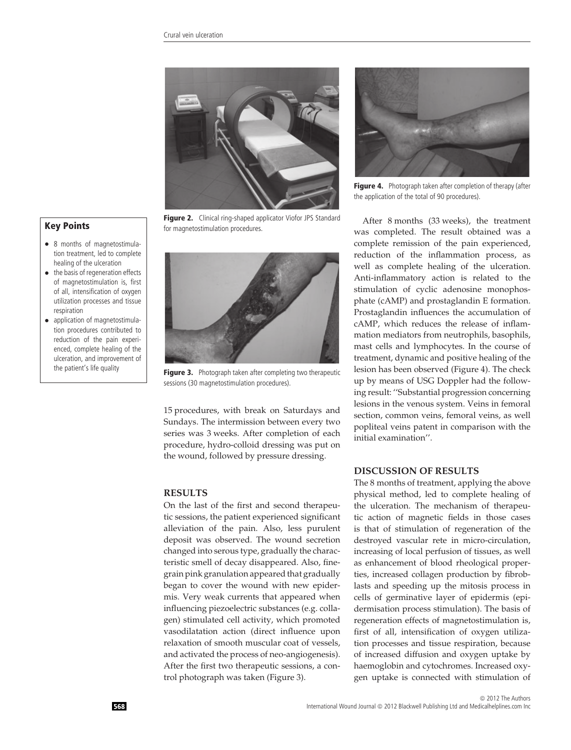

**Figure 2.** Clinical ring-shaped applicator Viofor JPS Standard for magnetostimulation procedures.



**Figure 3.** Photograph taken after completing two therapeutic sessions (30 magnetostimulation procedures).

15 procedures, with break on Saturdays and Sundays. The intermission between every two series was 3 weeks. After completion of each procedure, hydro-colloid dressing was put on the wound, followed by pressure dressing.

#### **RESULTS**

On the last of the first and second therapeutic sessions, the patient experienced significant alleviation of the pain. Also, less purulent deposit was observed. The wound secretion changed into serous type, gradually the characteristic smell of decay disappeared. Also, finegrain pink granulation appeared that gradually began to cover the wound with new epidermis. Very weak currents that appeared when influencing piezoelectric substances (e.g. collagen) stimulated cell activity, which promoted vasodilatation action (direct influence upon relaxation of smooth muscular coat of vessels, and activated the process of neo-angiogenesis). After the first two therapeutic sessions, a control photograph was taken (Figure 3).



Figure 4. Photograph taken after completion of therapy (after the application of the total of 90 procedures).

After 8 months (33 weeks), the treatment was completed. The result obtained was a complete remission of the pain experienced, reduction of the inflammation process, as well as complete healing of the ulceration. Anti-inflammatory action is related to the stimulation of cyclic adenosine monophosphate (cAMP) and prostaglandin E formation. Prostaglandin influences the accumulation of cAMP, which reduces the release of inflammation mediators from neutrophils, basophils, mast cells and lymphocytes. In the course of treatment, dynamic and positive healing of the lesion has been observed (Figure 4). The check up by means of USG Doppler had the following result: ''Substantial progression concerning lesions in the venous system. Veins in femoral section, common veins, femoral veins, as well popliteal veins patent in comparison with the initial examination''.

## **DISCUSSION OF RESULTS**

The 8 months of treatment, applying the above physical method, led to complete healing of the ulceration. The mechanism of therapeutic action of magnetic fields in those cases is that of stimulation of regeneration of the destroyed vascular rete in micro-circulation, increasing of local perfusion of tissues, as well as enhancement of blood rheological properties, increased collagen production by fibroblasts and speeding up the mitosis process in cells of germinative layer of epidermis (epidermisation process stimulation). The basis of regeneration effects of magnetostimulation is, first of all, intensification of oxygen utilization processes and tissue respiration, because of increased diffusion and oxygen uptake by haemoglobin and cytochromes. Increased oxygen uptake is connected with stimulation of

# **Key Points**

- 8 months of magnetostimulation treatment, led to complete healing of the ulceration
- the basis of regeneration effects of magnetostimulation is, first of all, intensification of oxygen utilization processes and tissue respiration
- application of magnetostimulation procedures contributed to reduction of the pain experienced, complete healing of the ulceration, and improvement of the patient's life quality